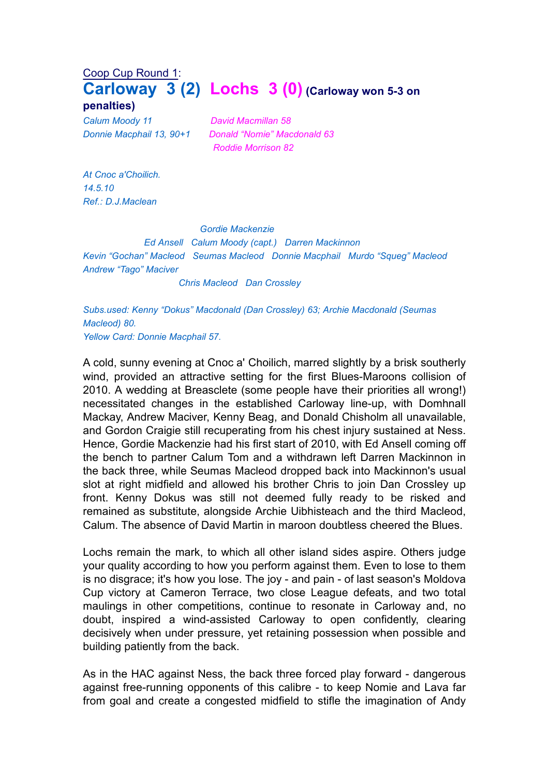## Coop Cup Round 1: **Carloway 3 (2) Lochs 3 (0) (Carloway won 5-3 on penalties)**

*Calum Moody 11 David Macmillan 58*

*Donnie Macphail 13, 90+1 Donald "Nomie" Macdonald 63 Roddie Morrison 82*

*At Cnoc a'Choilich. 14.5.10 Ref.: D.J.Maclean*

## *Gordie Mackenzie*

*Ed Ansell Calum Moody (capt.) Darren Mackinnon Kevin "Gochan" Macleod Seumas Macleod Donnie Macphail Murdo "Squeg" Macleod Andrew "Tago" Maciver*

*Chris Macleod Dan Crossley*

*Subs.used: Kenny "Dokus" Macdonald (Dan Crossley) 63; Archie Macdonald (Seumas Macleod) 80. Yellow Card: Donnie Macphail 57.*

A cold, sunny evening at Cnoc a' Choilich, marred slightly by a brisk southerly wind, provided an attractive setting for the first Blues-Maroons collision of 2010. A wedding at Breasclete (some people have their priorities all wrong!) necessitated changes in the established Carloway line-up, with Domhnall Mackay, Andrew Maciver, Kenny Beag, and Donald Chisholm all unavailable, and Gordon Craigie still recuperating from his chest injury sustained at Ness. Hence, Gordie Mackenzie had his first start of 2010, with Ed Ansell coming off the bench to partner Calum Tom and a withdrawn left Darren Mackinnon in the back three, while Seumas Macleod dropped back into Mackinnon's usual slot at right midfield and allowed his brother Chris to join Dan Crossley up front. Kenny Dokus was still not deemed fully ready to be risked and remained as substitute, alongside Archie Uibhisteach and the third Macleod, Calum. The absence of David Martin in maroon doubtless cheered the Blues.

Lochs remain the mark, to which all other island sides aspire. Others judge your quality according to how you perform against them. Even to lose to them is no disgrace; it's how you lose. The joy - and pain - of last season's Moldova Cup victory at Cameron Terrace, two close League defeats, and two total maulings in other competitions, continue to resonate in Carloway and, no doubt, inspired a wind-assisted Carloway to open confidently, clearing decisively when under pressure, yet retaining possession when possible and building patiently from the back.

As in the HAC against Ness, the back three forced play forward - dangerous against free-running opponents of this calibre - to keep Nomie and Lava far from goal and create a congested midfield to stifle the imagination of Andy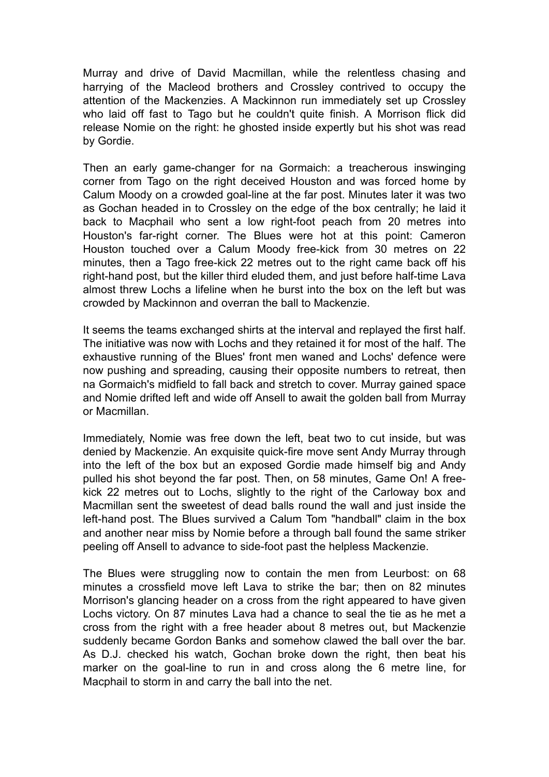Murray and drive of David Macmillan, while the relentless chasing and harrying of the Macleod brothers and Crossley contrived to occupy the attention of the Mackenzies. A Mackinnon run immediately set up Crossley who laid off fast to Tago but he couldn't quite finish. A Morrison flick did release Nomie on the right: he ghosted inside expertly but his shot was read by Gordie.

Then an early game-changer for na Gormaich: a treacherous inswinging corner from Tago on the right deceived Houston and was forced home by Calum Moody on a crowded goal-line at the far post. Minutes later it was two as Gochan headed in to Crossley on the edge of the box centrally; he laid it back to Macphail who sent a low right-foot peach from 20 metres into Houston's far-right corner. The Blues were hot at this point: Cameron Houston touched over a Calum Moody free-kick from 30 metres on 22 minutes, then a Tago free-kick 22 metres out to the right came back off his right-hand post, but the killer third eluded them, and just before half-time Lava almost threw Lochs a lifeline when he burst into the box on the left but was crowded by Mackinnon and overran the ball to Mackenzie.

It seems the teams exchanged shirts at the interval and replayed the first half. The initiative was now with Lochs and they retained it for most of the half. The exhaustive running of the Blues' front men waned and Lochs' defence were now pushing and spreading, causing their opposite numbers to retreat, then na Gormaich's midfield to fall back and stretch to cover. Murray gained space and Nomie drifted left and wide off Ansell to await the golden ball from Murray or Macmillan.

Immediately, Nomie was free down the left, beat two to cut inside, but was denied by Mackenzie. An exquisite quick-fire move sent Andy Murray through into the left of the box but an exposed Gordie made himself big and Andy pulled his shot beyond the far post. Then, on 58 minutes, Game On! A freekick 22 metres out to Lochs, slightly to the right of the Carloway box and Macmillan sent the sweetest of dead balls round the wall and just inside the left-hand post. The Blues survived a Calum Tom "handball" claim in the box and another near miss by Nomie before a through ball found the same striker peeling off Ansell to advance to side-foot past the helpless Mackenzie.

The Blues were struggling now to contain the men from Leurbost: on 68 minutes a crossfield move left Lava to strike the bar; then on 82 minutes Morrison's glancing header on a cross from the right appeared to have given Lochs victory. On 87 minutes Lava had a chance to seal the tie as he met a cross from the right with a free header about 8 metres out, but Mackenzie suddenly became Gordon Banks and somehow clawed the ball over the bar. As D.J. checked his watch, Gochan broke down the right, then beat his marker on the goal-line to run in and cross along the 6 metre line, for Macphail to storm in and carry the ball into the net.